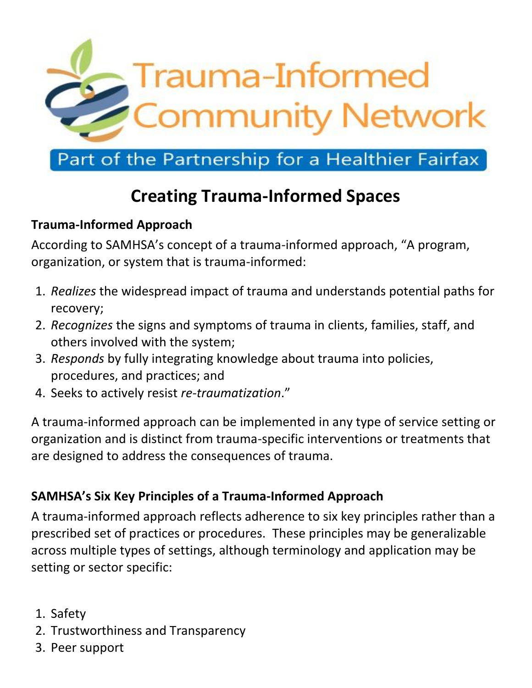

## Part of the Partnership for a Healthier Fairfax

# **Creating Trauma-Informed Spaces**

### **Trauma-Informed Approach**

According to SAMHSA's concept of a trauma-informed approach, "A program, organization, or system that is trauma-informed:

- 1. *Realizes* the widespread impact of trauma and understands potential paths for recovery;
- 2. *Recognizes* the signs and symptoms of trauma in clients, families, staff, and others involved with the system;
- 3. *Responds* by fully integrating knowledge about trauma into policies, procedures, and practices; and
- 4. Seeks to actively resist *re-traumatization*."

A trauma-informed approach can be implemented in any type of service setting or organization and is distinct from trauma-specific interventions or treatments that are designed to address the consequences of trauma.

#### **SAMHSA's Six Key Principles of a Trauma-Informed Approach**

A trauma-informed approach reflects adherence to six key principles rather than a prescribed set of practices or procedures. These principles may be generalizable across multiple types of settings, although terminology and application may be setting or sector specific:

- 1. Safety
- 2. Trustworthiness and Transparency
- 3. Peer support